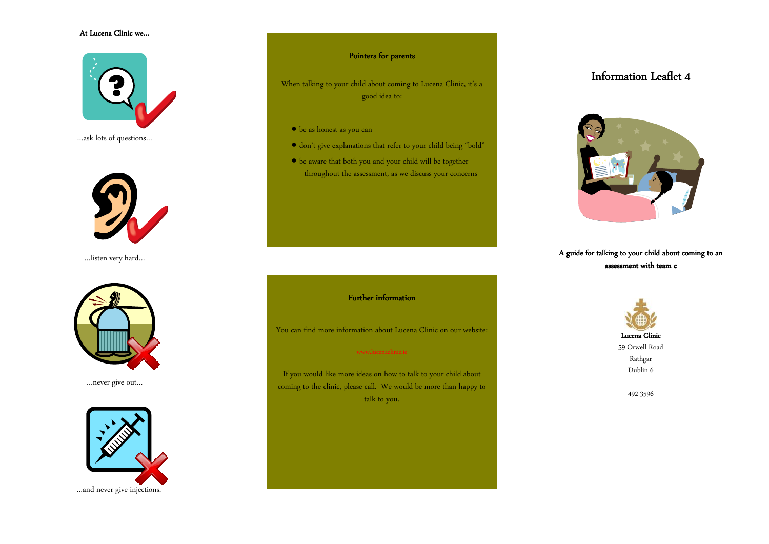## At Lucena Clinic we…



…ask lots of questions…



…listen very hard…



…never give out…



## Pointers for parents

When talking to your child about coming to Lucena Clinic, it's a good idea to:

- be as honest as you can
- don't give explanations that refer to your child being "bold"
- be aware that both you and your child will be together throughout the assessment, as we discuss your concerns

### **Further information**

You can find more information about Lucena Clinic on our website:

If you would like more ideas on how to talk to your child about coming to the clinic, please call. We would be more than happy to talk to you.

# Information Leaflet 4



## A guide for talking to your child about coming to an assessment with team c



492 3596